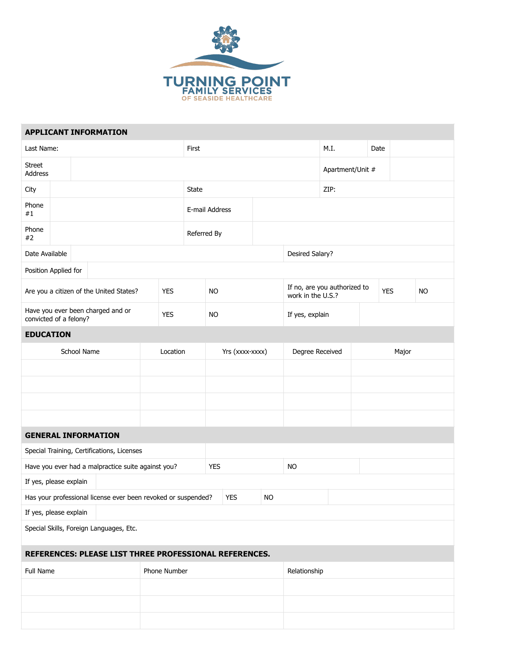

|                                                               |  |  | <b>APPLICANT INFORMATION</b>               |            |            |                 |                |            |           |                  |                                                   |       |            |  |           |  |  |
|---------------------------------------------------------------|--|--|--------------------------------------------|------------|------------|-----------------|----------------|------------|-----------|------------------|---------------------------------------------------|-------|------------|--|-----------|--|--|
| Last Name:                                                    |  |  |                                            |            |            | First           |                |            |           |                  | M.I.                                              |       | Date       |  |           |  |  |
| <b>Street</b><br>Address                                      |  |  |                                            |            |            |                 |                |            |           | Apartment/Unit # |                                                   |       |            |  |           |  |  |
| City                                                          |  |  |                                            |            |            | State           |                |            |           |                  | ZIP:                                              |       |            |  |           |  |  |
| Phone<br>#1                                                   |  |  |                                            |            |            |                 | E-mail Address |            |           |                  |                                                   |       |            |  |           |  |  |
| Phone<br>#2                                                   |  |  |                                            |            |            | Referred By     |                |            |           |                  |                                                   |       |            |  |           |  |  |
| Date Available                                                |  |  |                                            |            |            |                 |                |            |           | Desired Salary?  |                                                   |       |            |  |           |  |  |
| Position Applied for                                          |  |  |                                            |            |            |                 |                |            |           |                  |                                                   |       |            |  |           |  |  |
| Are you a citizen of the United States?                       |  |  |                                            | <b>YES</b> |            |                 | <b>NO</b>      |            |           |                  | If no, are you authorized to<br>work in the U.S.? |       | <b>YES</b> |  | <b>NO</b> |  |  |
| Have you ever been charged and or<br>convicted of a felony?   |  |  |                                            | <b>YES</b> |            |                 | <b>NO</b>      |            |           |                  | If yes, explain                                   |       |            |  |           |  |  |
| <b>EDUCATION</b>                                              |  |  |                                            |            |            |                 |                |            |           |                  |                                                   |       |            |  |           |  |  |
| School Name                                                   |  |  | Location                                   |            |            | Yrs (xxxx-xxxx) |                |            |           | Degree Received  |                                                   | Major |            |  |           |  |  |
|                                                               |  |  |                                            |            |            |                 |                |            |           |                  |                                                   |       |            |  |           |  |  |
|                                                               |  |  |                                            |            |            |                 |                |            |           |                  |                                                   |       |            |  |           |  |  |
|                                                               |  |  |                                            |            |            |                 |                |            |           |                  |                                                   |       |            |  |           |  |  |
|                                                               |  |  |                                            |            |            |                 |                |            |           |                  |                                                   |       |            |  |           |  |  |
| <b>GENERAL INFORMATION</b>                                    |  |  |                                            |            |            |                 |                |            |           |                  |                                                   |       |            |  |           |  |  |
|                                                               |  |  | Special Training, Certifications, Licenses |            |            |                 |                |            |           |                  |                                                   |       |            |  |           |  |  |
| Have you ever had a malpractice suite against you?            |  |  |                                            |            | <b>YES</b> |                 |                | <b>NO</b>  |           |                  |                                                   |       |            |  |           |  |  |
| If yes, please explain                                        |  |  |                                            |            |            |                 |                |            |           |                  |                                                   |       |            |  |           |  |  |
| Has your professional license ever been revoked or suspended? |  |  |                                            |            |            |                 |                | <b>YES</b> | <b>NO</b> |                  |                                                   |       |            |  |           |  |  |
| If yes, please explain                                        |  |  |                                            |            |            |                 |                |            |           |                  |                                                   |       |            |  |           |  |  |
| Special Skills, Foreign Languages, Etc.                       |  |  |                                            |            |            |                 |                |            |           |                  |                                                   |       |            |  |           |  |  |
| REFERENCES: PLEASE LIST THREE PROFESSIONAL REFERENCES.        |  |  |                                            |            |            |                 |                |            |           |                  |                                                   |       |            |  |           |  |  |
| Full Name                                                     |  |  | Phone Number                               |            |            |                 |                |            |           | Relationship     |                                                   |       |            |  |           |  |  |
|                                                               |  |  |                                            |            |            |                 |                |            |           |                  |                                                   |       |            |  |           |  |  |
|                                                               |  |  |                                            |            |            |                 |                |            |           |                  |                                                   |       |            |  |           |  |  |
|                                                               |  |  |                                            |            |            |                 |                |            |           |                  |                                                   |       |            |  |           |  |  |